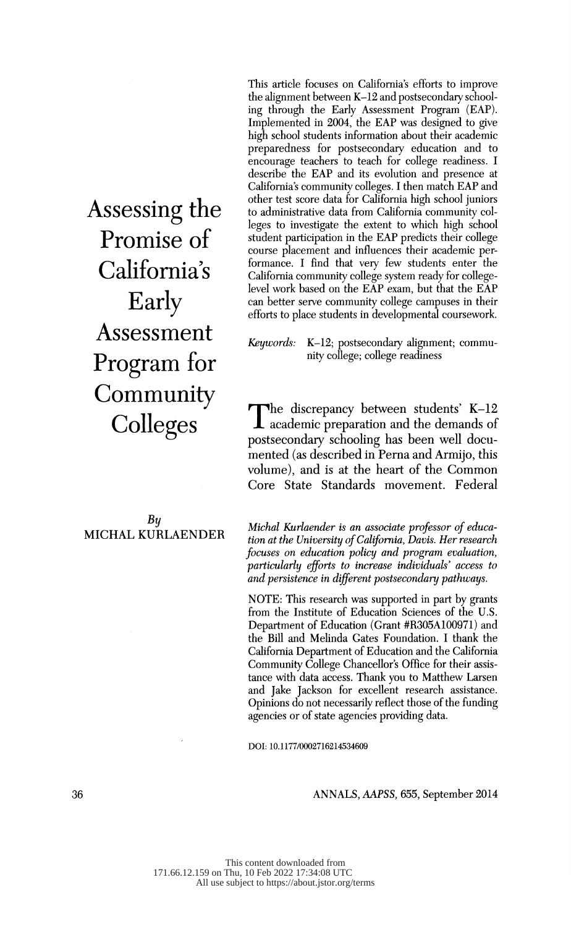**Assessing the Promise of California's Early Assessment Program for Community Colleges** 

*By*  MICHAL KURLAENDER This article focuses on California's efforts to improve the alignment between K-12 and postsecondary schooling through the Early Assessment Program (EAP). Implemented in 2004, the EAP was designed to give high school students information about their academic preparedness for postsecondary education and to encourage teachers to teach for college readiness. I describe the EAP and its evolution and presence at California's community colleges. I then match EAP and other test score data for California high school juniors to administrative data from California community colleges to investigate the extent to which high school student participation in the EAP predicts their college course placement and influences their academic performance. I find that very few students enter the California community college system ready for collegelevel work based on the EAP exam, but that the EAP can better serve community college campuses in their efforts to place students in developmental coursework.

*Keywords:* **K-12;** postsecondary alignment; community college; college readiness

The discrepancy between students' K-12 academic preparation and the demands of postsecondary schooling has been well documented (as described in Perna and Armijo, this volume), and is at the heart of the Common Core State Standards movement. Federal

*Michal Kurlaender is an associate professor of education at the University of California, Davis. Her research focuses on education policy and program evaluation, particularly efforts to increase individuals' access to and persistence in different postsecondary pathways.* 

NOTE: This research was supported in part by grants from the Institute of Education Sciences of the U.S. Department of Education (Grant #R305Al00971) and the Bill and Melinda Gates Foundation. I thank the California Department of Education and the California Community College Chancellor's Office for their assistance with data access. Thank you to Matthew Larsen and Jake Jackson for excellent research assistance. Opinions do not necessarily reflect those of the funding agencies or of state agencies providing data.

DOI: 10.ll 77/0002716214534609

ANNALS, *AAPSS,* 655, September 2014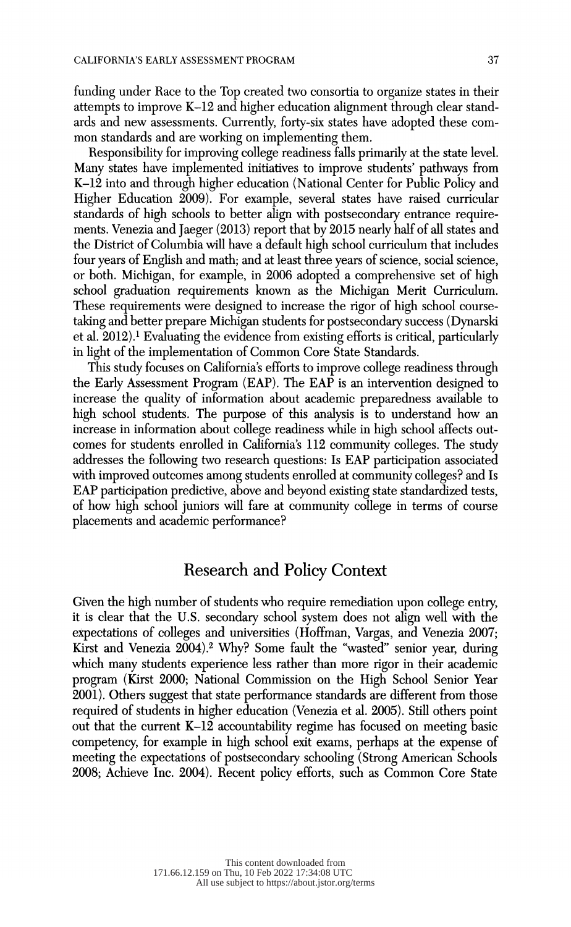funding under Race to the Top created two consortia to organize states in their attempts to improve **K-12** and higher education alignment through clear standards and new assessments. Currently, forty-six states have adopted these common standards and are working on implementing them.

Responsibility for improving college readiness falls primarily at the state level. Many states have implemented initiatives to improve students' pathways from K-12 into and through higher education (National Center for Public Policy and Higher Education 2009). For example, several states have raised curricular standards of high schools to better align with postsecondary entrance requirements. Venezia and Jaeger (2013) report that by 2015 nearly half of all states and the District of Columbia will have a default high school curriculum that includes four years of English and math; and at least three years of science, social science, or both. Michigan, for example, in 2006 adopted a comprehensive set of high school graduation requirements known as the Michigan Merit Curriculum. These requirements were designed to increase the rigor of high school coursetaking and better prepare Michigan students for postsecondary success (Dynarski et al. 2012). 1 Evaluating the evidence from existing efforts is critical, particularly in light of the implementation of Common Core State Standards.

This study focuses on California's efforts to improve college readiness through the Early Assessment Program (EAP). The EAP is an intervention designed to increase the quality of information about academic preparedness available to high school students. The purpose of this analysis is to understand how an increase in information about college readiness while in high school affects outcomes for students enrolled in California's 112 community colleges. The study addresses the following two research questions: Is EAP participation associated with improved outcomes among students enrolled at community colleges? and Is EAP participation predictive, above and beyond existing state standardized tests, of how high school juniors will fare at community college in terms of course placements and academic performance?

## Research and Policy Context

Given the high number of students who require remediation upon college entry, it is clear that the U.S. secondary school system does not align well with the expectations of colleges and universities (Hoffman, Vargas, and Venezia 2007; Kirst and Venezia 2004).<sup>2</sup> Why? Some fault the "wasted" senior year, during which many students experience less rather than more rigor in their academic program (Kirst 2000; National Commission on the High School Senior Year 2001). Others suggest that state performance standards are different from those required of students in higher education (Venezia et al. 2005). Still others point out that the current **K-12** accountability regime has focused on meeting basic competency, for example in high school exit exams, perhaps at the expense of meeting the expectations of postsecondary schooling ( Strong American Schools 2008; Achieve Inc. 2004). Recent policy efforts, such as Common Core State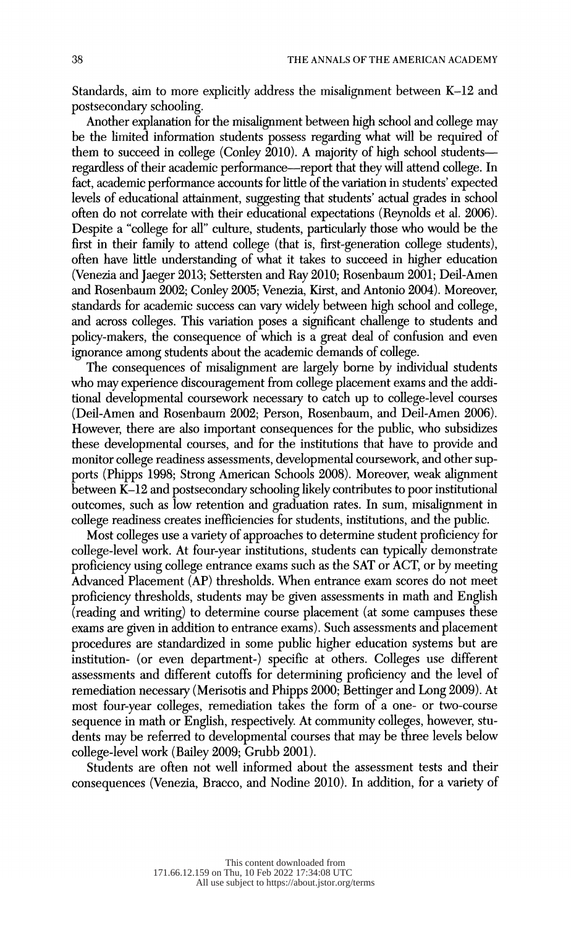Standards, aim to more explicitly address the misalignment between K-12 and postsecondary schooling.

Another explanation for the misalignment between high school and college may be the limited information students possess regarding what will be required of them to succeed in college (Conley 2010). A majority of high school studentsregardless of their academic performance-report that they will attend college. In fact, academic performance accounts for little of the variation in students' expected levels of educational attainment, suggesting that students' actual grades in school often do not correlate with their educational expectations (Reynolds et al. 2006). Despite a "college for all" culture, students, particularly those who would be the first in their family to attend college (that is, first-generation college students), often have little understanding of what it takes to succeed in higher education (Venezia and Jaeger 2013; Settersten and Ray 2010; Rosenbaum 2001; Deil-Amen and Rosenbaum 2002; Conley 2005; Venezia, Kirst, and Antonio 2004). Moreover, standards for academic success can vary widely between high school and college, and across colleges. This variation poses a significant challenge to students and policy-makers, the consequence of which is a great deal of confusion and even ignorance among students about the academic demands of college.

The consequences of misalignment are largely home by individual students who may experience discouragement from college placement exams and the additional developmental coursework necessary to catch up to college-level courses (Deil-Amen and Rosenbaum 2002; Person, Rosenbaum, and Deil-Amen 2006). However, there are also important consequences for the public, who subsidizes these developmental courses, and for the institutions that have to provide and monitor college readiness assessments, developmental coursework, and other supports (Phipps 1998; Strong American Schools 2008). Moreover, weak alignment between **K-12** and postsecondary schooling likely contributes to poor institutional outcomes, such as low retention and graduation rates. In sum, misalignment in college readiness creates inefficiencies for students, institutions, and the public.

Most colleges use a variety of approaches to determine student proficiency for college-level work. At four-year institutions, students can typically demonstrate proficiency using college entrance exams such as the SAT or ACT, or by meeting Advanced Placement (AP) thresholds. When entrance exam scores do not meet proficiency thresholds, students may be given assessments in math and English (reading and writing) to determine course placement (at some campuses these exams are given in addition to entrance exams). Such assessments and placement procedures are standardized in some public higher education systems but are institution- (or even department-) specific at others. Colleges use different assessments and different cutoffs for determining proficiency and the level of remediation necessary (Merisotis and Phipps 2000; Bettinger and Long 2009). At most four-year colleges, remediation takes the form of a one- or two-course sequence in math or English, respectively. At community colleges, however, students may be referred to developmental courses that may be three levels below college-level work (Bailey 2009; Grubb 2001).

Students are often not well informed about the assessment tests and their consequences (Venezia, Bracco, and Nodine 2010). In addition, for a variety of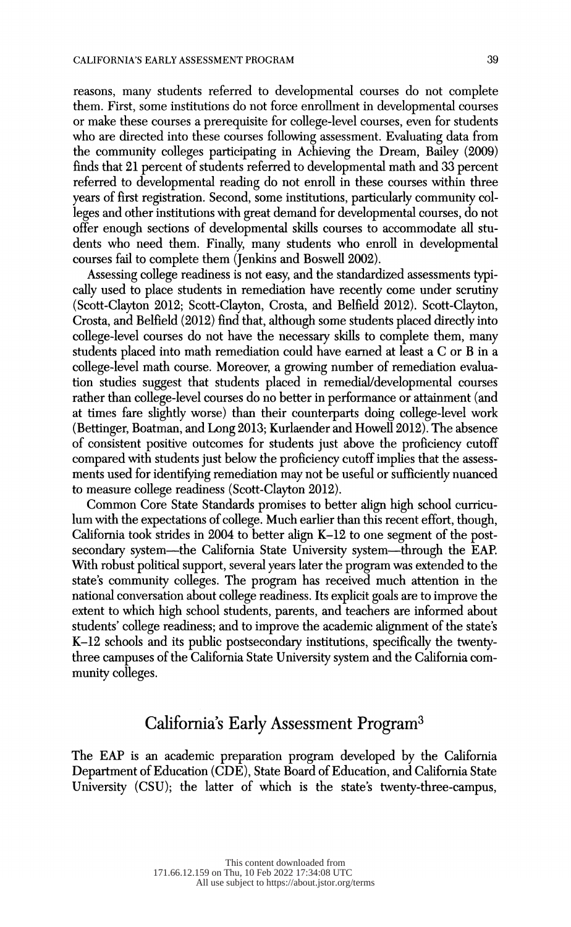reasons, many students referred to developmental courses do not complete them. First, some institutions do not force enrollment in developmental courses or make these courses a prerequisite for college-level courses, even for students who are directed into these courses following assessment. Evaluating data from the community colleges participating in Achieving the Dream, Bailey (2009) finds that 21 percent of students referred to developmental math and 33 percent referred to developmental reading do not enroll in these courses within three years of first registration. Second, some institutions, particularly community colleges and other institutions with great demand for developmental courses, do not offer enough sections of developmental skills courses to accommodate all students who need them. Finally, many students who enroll in developmental courses fail to complete them (Jenkins and Boswell 2002).

Assessing college readiness is not easy, and the standardized assessments typically used to place students in remediation have recently come under scrutiny (Scott-Clayton 2012; Scott-Clayton, Crosta, and Belfield 2012). Scott-Clayton, Crosta, and Belfield (2012) find that, although some students placed directly into college-level courses do not have the necessary skills to complete them, many students placed into math remediation could have earned at least a C or B in a college-level math course. Moreover, a growing number of remediation evaluation studies suggest that students placed in remedial/developmental courses rather than college-level courses do no better in performance or attainment (and at times fare slightly worse) than their counterparts doing college-level work (Bettinger, Boatman, and Long 2013; Kurlaender and Howell 2012). The absence of consistent positive outcomes for students just above the proficiency cutoff compared with students just below the proficiency cutoff implies that the assessments used for identifying remediation may not be useful or sufficiently nuanced to measure college readiness (Scott-Clayton 2012).

Common Core State Standards promises to better align high school curriculum with the expectations of college. Much earlier than this recent effort, though, California took strides in 2004 to better align K-12 to one segment of the postsecondary system-the California State University system-through the EAP. With robust political support, several years later the program was extended to the state's community colleges. The program has received much attention in the national conversation about college readiness. Its explicit goals are to improve the extent to which high school students, parents, and teachers are informed about students' college readiness; and to improve the academic alignment of the state's K-12 schools and its public postsecondary institutions, specifically the twentythree campuses of the California State University system and the California community colleges.

# California's Early Assessment Program<sup>3</sup>

The EAP is an academic preparation program developed by the California Department of Education (CDE), State Board of Education, and California State University (CSU); the latter of which is the state's twenty-three-campus,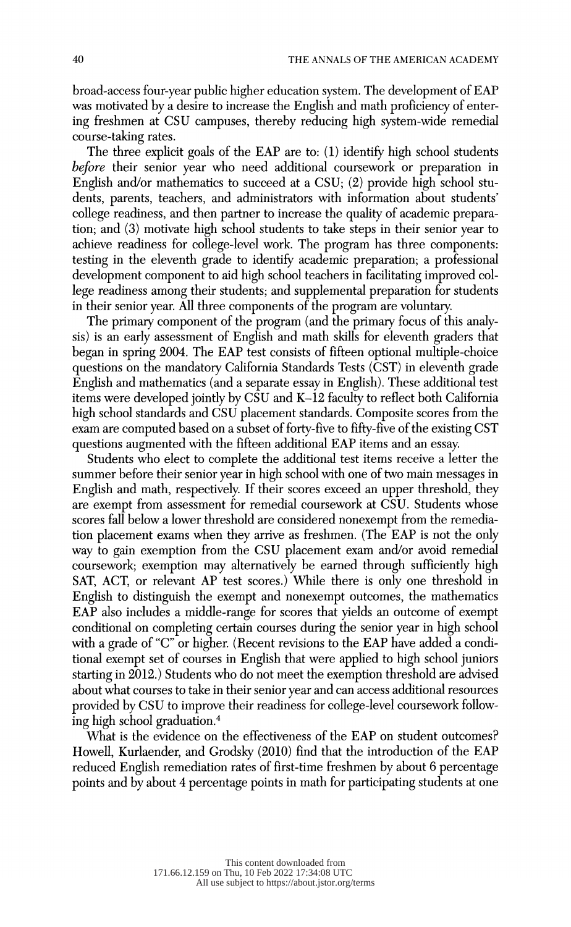broad-access four-year public higher education system. The development of EAP was motivated by a desire to increase the English and math proficiency of entering freshmen at CSU campuses, thereby reducing high system-wide remedial course-taking rates.

The three explicit goals of the EAP are to: (1) identify high school students *before* their senior year who need additional coursework or preparation in English and/or mathematics to succeed at a CSU; (2) provide high school students, parents, teachers, and administrators with information about students' college readiness, and then partner to increase the quality of academic preparation; and (3) motivate high school students to take steps in their senior year to achieve readiness for college-level work. The program has three components: testing in the eleventh grade to identify academic preparation; a professional development component to aid high school teachers in facilitating improved college readiness among their students; and supplemental preparation for students in their senior year. All three components of the program are voluntary.

The primary component of the program (and the primary focus of this analysis) is an early assessment of English and math skills for eleventh graders that began in spring 2004. The EAP test consists of fifteen optional multiple-choice questions on the mandatory California Standards Tests (CST) in eleventh grade English and mathematics (and a separate essay in English). These additional test items were developed jointly by CSU and K-12 faculty to reflect both California high school standards and CSU placement standards. Composite scores from the exam are computed based on a subset of forty-five to fifty-five of the existing CST questions augmented with the fifteen additional EAP items and an essay.

Students who elect to complete the additional test items receive a letter the summer before their senior year in high school with one of two main messages in English and math, respectively. If their scores exceed an upper threshold, they are exempt from assessment for remedial coursework at CSU. Students whose scores fall below a lower threshold are considered nonexempt from the remediation placement exams when they arrive as freshmen. (The EAP is not the only way to gain exemption from the CSU placement exam and/or avoid remedial coursework; exemption may alternatively be earned through sufficiently high SAT, ACT, or relevant AP test scores.) While there is only one threshold in English to distinguish the exempt and nonexempt outcomes, the mathematics EAP also includes a middle-range for scores that yields an outcome of exempt conditional on completing certain courses during the senior year in high school with a grade of "C" or higher. (Recent revisions to the EAP have added a conditional exempt set of courses in English that were applied to high school juniors starting in 2012.) Students who do not meet the exemption threshold are advised about what courses to take in their senior year and can access additional resources provided by CSU to improve their readiness for college-level coursework following high school graduation. 4

What is the evidence on the effectiveness of the EAP on student outcomes? Howell, Kurlaender, and Grodsky (2010) find that the introduction of the EAP reduced English remediation rates of first-time freshmen by about 6 percentage points and by about 4 percentage points in math for participating students at one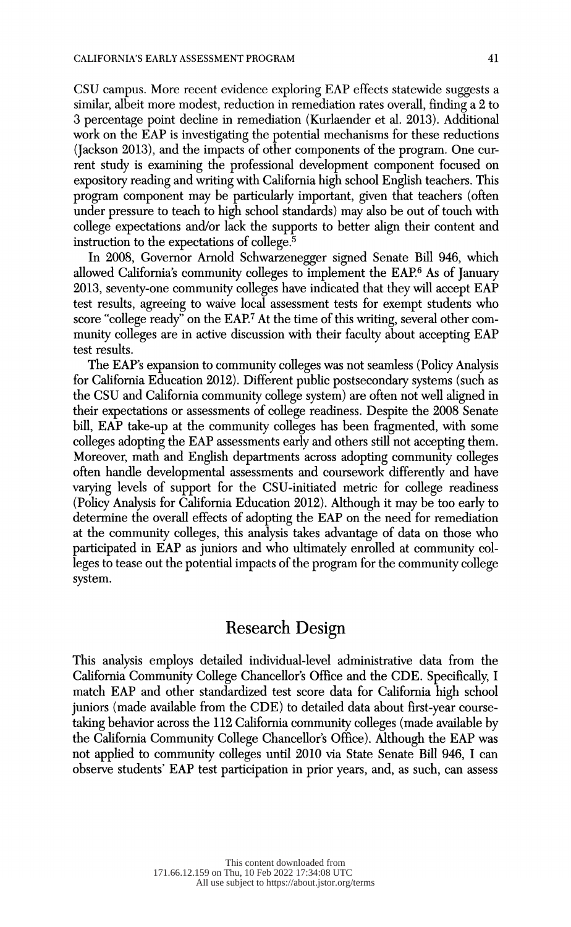CSU campus. More recent evidence exploring EAP effects statewide suggests a similar, albeit more modest, reduction in remediation rates overall, finding a 2 to 3 percentage point decline in remediation (Kurlaender et al. 2013). Additional work on the EAP is investigating the potential mechanisms for these reductions (Jackson 2013), and the impacts of other components of the program. One current study is examining the professional development component focused on expository reading and writing with California high school English teachers. This program component may be particularly important, given that teachers (often under pressure to teach to high school standards) may also be out of touch with college expectations and/or lack the supports to better align their content and instruction to the expectations of college.<sup>5</sup>

In 2008, Governor Arnold Schwarzenegger signed Senate Bill 946, which allowed California's community colleges to implement the EAP.<sup>6</sup> As of January 2013, seventy-one community colleges have indicated that they will accept EAP test results, agreeing to waive local assessment tests for exempt students who score "college ready" on the EAP.<sup>7</sup> At the time of this writing, several other community colleges are in active discussion with their faculty about accepting EAP test results.

The EAP's expansion to community colleges was not seamless (Policy Analysis for California Education 2012). Different public postsecondary systems (such as the CSU and California community college system) are often not well aligned in their expectations or assessments of college readiness. Despite the 2008 Senate bill, EAP take-up at the community colleges has been fragmented, with some colleges adopting the EAP assessments early and others still not accepting them. Moreover, math and English departments across adopting community colleges often handle developmental assessments and coursework differently and have varying levels of support for the CSU-initiated metric for college readiness (Policy Analysis for California Education 2012). Although it may be too early to determine the overall effects of adopting the EAP on the need for remediation at the community colleges, this analysis takes advantage of data on those who participated in EAP as juniors and who ultimately enrolled at community colleges to tease out the potential impacts of the program for the community college system.

## Research Design

This analysis employs detailed individual-level administrative data from the California Community College Chancellor's Office and the CDE. Specifically, I match EAP and other standardized test score data for California high school juniors (made available from the CDE) to detailed data about first-year coursetaking behavior across the 112 California community colleges (made available by the California Community College Chancellor's Office). Although the EAP was not applied to community colleges until 2010 via State Senate Bill 946, I can observe students' EAP test participation in prior years, and, as such, can assess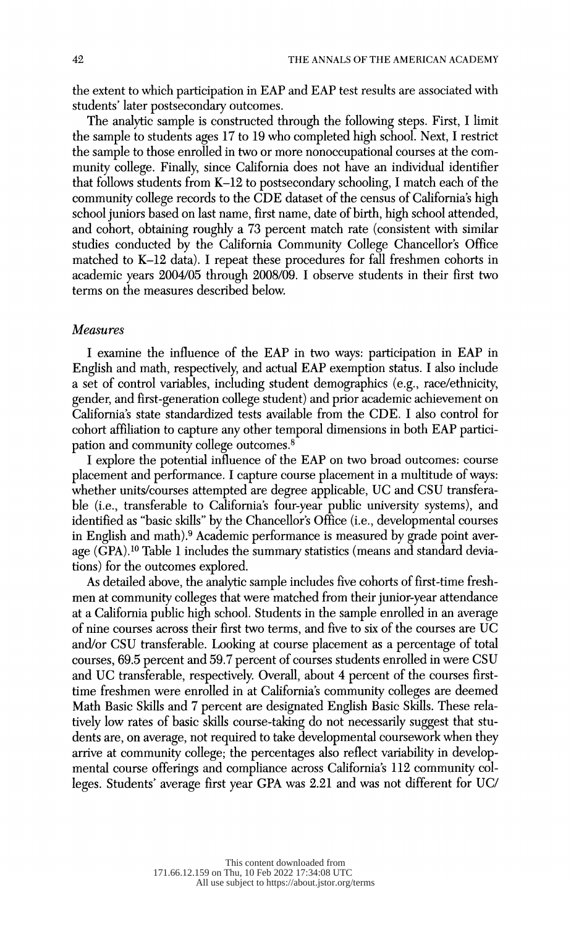the extent to which participation in EAP and EAP test results are associated with students' later postsecondary outcomes.

The analytic sample is constructed through the following steps. First, I limit the sample to students ages 17 to 19 who completed high school. Next, I restrict the sample to those enrolled in two or more nonoccupational courses at the community college. Finally, since California does not have an individual identifier that follows students from K-12 to postsecondary schooling, I match each of the community college records to the CDE dataset of the census of California's high school juniors based on last name, first name, date of birth, high school attended, and cohort, obtaining roughly a 73 percent match rate (consistent with similar studies conducted by the California Community College Chancellor's Office matched to **K-12** data). I repeat these procedures for fall freshmen cohorts in academic years 2004/05 through 2008/09. I observe students in their first two terms on the measures described below.

#### *Measures*

I examine the influence of the EAP in two ways: participation in EAP in English and math, respectively, and actual EAP exemption status. I also include a set of control variables, including student demographics (e.g., race/ethnicity, gender, and first-generation college student) and prior academic achievement on California's state standardized tests available from the CDE. I also control for cohort affiliation to capture any other temporal dimensions in both EAP participation and community college outcomes. <sup>8</sup>

I explore the potential influence of the EAP on two broad outcomes: course placement and performance. I capture course placement in a multitude of ways: whether units/courses attempted are degree applicable, UC and CSU transferable (i.e., transferable to California's four-year public university systems), and identified as "basic skills" by the Chancellor's Office (i.e., developmental courses in English and math).9 Academic performance is measured by grade point average (GPA).1° Table 1 includes the summary statistics (means and standard deviations) for the outcomes explored.

As detailed above, the analytic sample includes five cohorts of first-time freshmen at community colleges that were matched from their junior-year attendance at a California public high school. Students in the sample enrolled in an average of nine courses across their first two terms, and five to six of the courses are UC and/or CSU transferable. Looking at course placement as a percentage of total courses, 69.5 percent and 59.7 percent of courses students enrolled in were CSU and UC transferable, respectively. Overall, about 4 percent of the courses firsttime freshmen were enrolled in at California's community colleges are deemed Math Basic Skills and 7 percent are designated English Basic Skills. These relatively low rates of basic skills course-taking do not necessarily suggest that students are, on average, not required to take developmental coursework when they arrive at community college; the percentages also reflect variability in developmental course offerings and compliance across California's 112 community colleges. Students' average first year GPA was 2.21 and was not different for UC/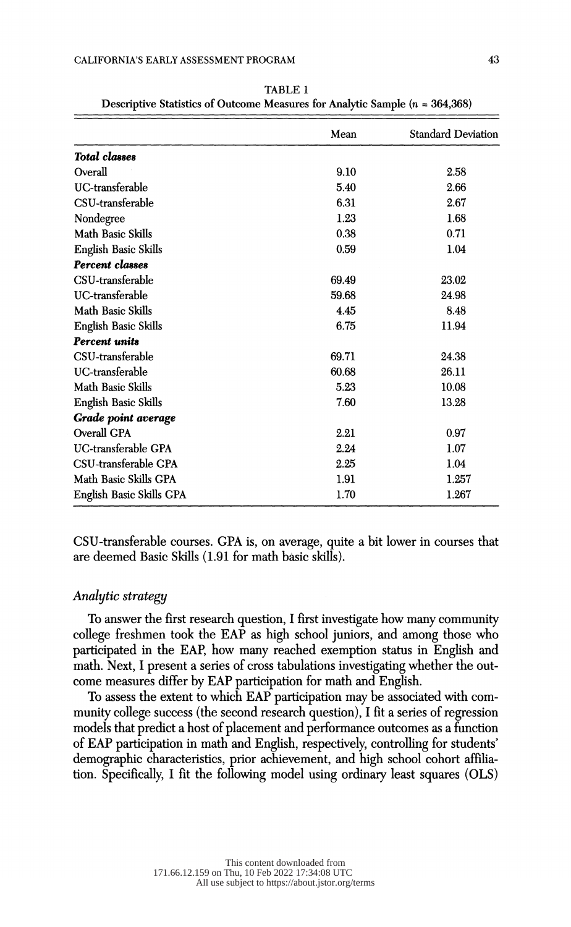#### CALIFORNIA'S EARLY ASSESSMENT PROGRAM 43

|                             | Mean  | <b>Standard Deviation</b> |
|-----------------------------|-------|---------------------------|
| <b>Total classes</b>        |       |                           |
| Overall                     | 9.10  | 2.58                      |
| UC-transferable             | 5.40  | 2.66                      |
| CSU-transferable            | 6.31  | 2.67                      |
| Nondegree                   | 1.23  | 1.68                      |
| Math Basic Skills           | 0.38  | 0.71                      |
| <b>English Basic Skills</b> | 0.59  | 1.04                      |
| Percent classes             |       |                           |
| CSU-transferable            | 69.49 | 23.02                     |
| UC-transferable             | 59.68 | 24.98                     |
| Math Basic Skills           | 4.45  | 8.48                      |
| <b>English Basic Skills</b> | 6.75  | 11.94                     |
| <b>Percent</b> units        |       |                           |
| CSU-transferable            | 69.71 | 24.38                     |
| UC-transferable             | 60.68 | 26.11                     |
| Math Basic Skills           | 5.23  | 10.08                     |
| <b>English Basic Skills</b> | 7.60  | 13.28                     |
| Grade point average         |       |                           |
| Overall GPA                 | 2.21  | 0.97                      |
| UC-transferable GPA         | 2.24  | 1.07                      |
| CSU-transferable GPA        | 2.25  | 1.04                      |
| Math Basic Skills GPA       | 1.91  | 1.257                     |
| English Basic Skills GPA    | 1.70  | 1.267                     |

TABLE 1 Descriptive Statistics of Outcome Measures for Analytic Sample  $(n = 364,368)$ 

CSU-transferable courses. GPA is, on average, quite a bit lower in courses that are deemed Basic Skills (1.91 for math basic skills).

#### *Analytic strategy*

To answer the first research question, I first investigate how many community college freshmen took the EAP as high school juniors, and among those who participated in the EAP, how many reached exemption status in English and math. Next, I present a series of cross tabulations investigating whether the outcome measures differ by EAP participation for math and English.

To assess the extent to which EAP participation may be associated with community college success (the second research question), I fit a series of regression models that predict a host of placement and performance outcomes as a function of EAP participation in math and English, respectively, controlling for students' demographic characteristics, prior achievement, and high school cohort affiliation. Specifically, I fit the following model using ordinary least squares (OLS)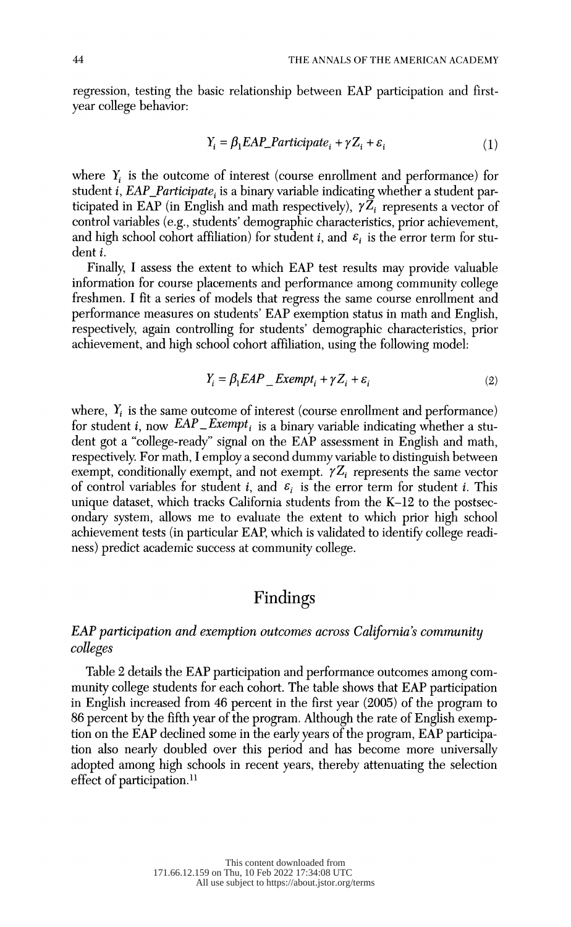regression, testing the basic relationship between EAP participation and firstyear college behavior:

$$
Y_i = \beta_1 EAP\_Participate_i + \gamma Z_i + \varepsilon_i \tag{1}
$$

where  $Y_i$  is the outcome of interest (course enrollment and performance) for student *i*, EAP\_Participate<sub>i</sub> is a binary variable indicating whether a student participated in EAP (in English and math respectively),  $\gamma \overline{Z}_i$  represents a vector of control variables (e.g., students' demographic characteristics, prior achievement, and high school cohort affiliation) for student i, and  $\varepsilon_i$  is the error term for student *i.* 

Finally, I assess the extent to which EAP test results may provide valuable information for course placements and performance among community college freshmen. I fit a series of models that regress the same course enrollment and performance measures on students' EAP exemption status in math and English, respectively, again controlling for students' demographic characteristics, prior achievement, and high school cohort affiliation, using the following model:

$$
Y_i = \beta_1 EAP \_Exempt_i + \gamma Z_i + \varepsilon_i \tag{2}
$$

where,  $Y_i$  is the same outcome of interest (course enrollment and performance) for student *i,* now *EAP \_Exempt;* is a binary variable indicating whether a student got a "college-ready" signal on the EAP assessment in English and math, respectively. For math, I employ a second dummy variable to distinguish between exempt, conditionally exempt, and not exempt.  $\gamma Z_i$  represents the same vector of control variables for student *i*, and  $\varepsilon_i$  is the error term for student *i*. This unique dataset, which tracks California students from the K-12 to the postsecondary system, allows me to evaluate the extent to which prior high school achievement tests (in particular EAP, which is validated to identify college readiness) predict academic success at community college.

# **Findings**

### *EAP participation and exemption outcomes across California's community colleges*

Table 2 details the EAP participation and performance outcomes among community college students for each cohort. The table shows that EAP participation in English increased from 46 percent in the first year (2005) of the program to 86 percent by the fifth year of the program. Although the rate of English exemption on the EAP declined some in the early years of the program, EAP participation also nearly doubled over this period and has become more universally adopted among high schools in recent years, thereby attenuating the selection effect of participation.<sup>11</sup>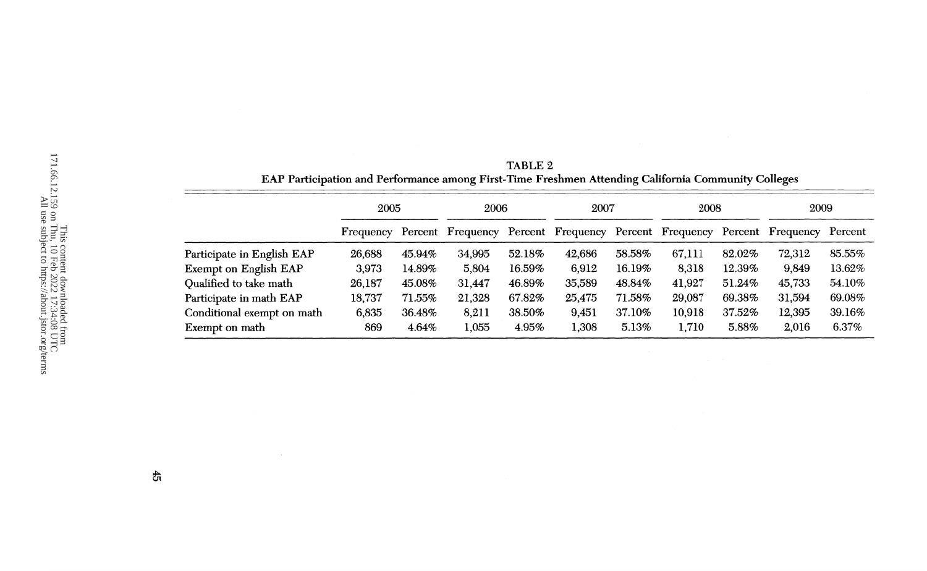|                            | 2005      |        | 2006              |        | 2007              |        | 2008              |        | 2009              |         |
|----------------------------|-----------|--------|-------------------|--------|-------------------|--------|-------------------|--------|-------------------|---------|
|                            | Frequency |        | Percent Frequency |        | Percent Frequency |        | Percent Frequency |        | Percent Frequency | Percent |
| Participate in English EAP | 26,688    | 45.94% | 34,995            | 52.18% | 42,686            | 58.58% | 67,111            | 82.02% | 72,312            | 85.55%  |
| Exempt on English EAP      | 3.973     | 14.89% | 5,804             | 16.59% | 6.912             | 16.19% | 8.318             | 12.39% | 9.849             | 13.62%  |
| Oualified to take math     | 26,187    | 45.08% | 31.447            | 46.89% | 35,589            | 48.84% | 41,927            | 51.24% | 45,733            | 54.10%  |
| Participate in math EAP    | 18,737    | 71.55% | 21,328            | 67.82% | 25,475            | 71.58% | 29,087            | 69.38% | 31,594            | 69.08%  |
| Conditional exempt on math | 6,835     | 36.48% | 8,211             | 38.50% | 9.451             | 37.10% | 10.918            | 37.52% | 12,395            | 39.16%  |
| Exempt on math             | 869       | 4.64%  | 1,055             | 4.95%  | 1,308             | 5.13%  | 1.710             | 5.88%  | 2.016             | 6.37%   |

TABLE2 EAP Participation and Performance among First-Time Freshmen Attending California Community Colleges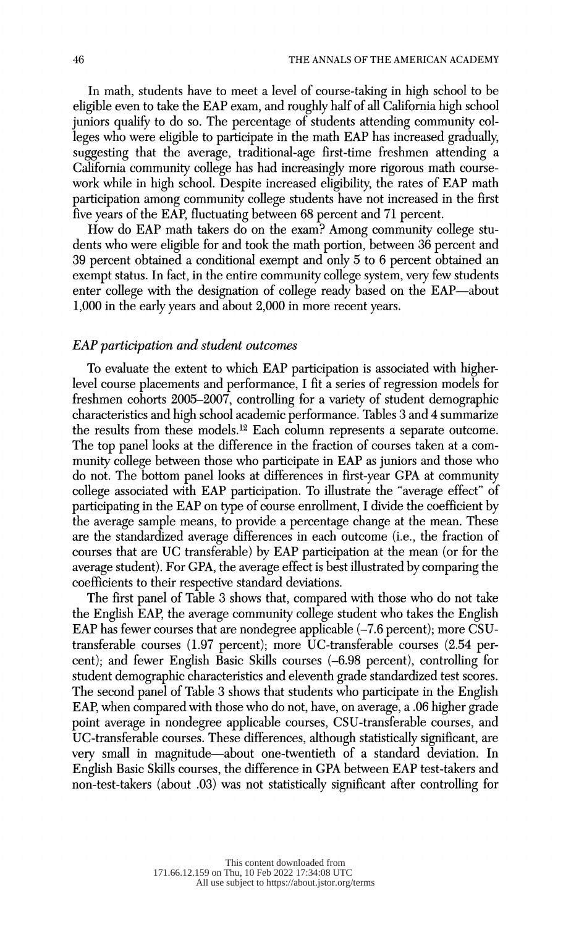In math, students have to meet a level of course-taking in high school to be eligible even to take the EAP exam, and roughly half of all California high school juniors qualify to do so. The percentage of students attending community colleges who were eligible to participate in the math EAP has increased gradually, suggesting that the average, traditional-age first-time freshmen attending a California community college has had increasingly more rigorous math coursework while in high school. Despite increased eligibility, the rates of EAP math participation among community college students have not increased in the first five years of the EAP, fluctuating between 68 percent and 71 percent.

How do EAP math takers do on the exam? Among community college students who were eligible for and took the math portion, between 36 percent and 39 percent obtained a conditional exempt and only 5 to 6 percent obtained an exempt status. In fact, in the entire community college system, very few students enter college with the designation of college ready based on the EAP-about 1,000 in the early years and about 2,000 in more recent years.

### EAP *participation and student outcomes*

To evaluate the extent to which EAP participation is associated with higherlevel course placements and performance, I fit a series of regression models for freshmen cohorts 2005-2007, controlling for a variety of student demographic characteristics and high school academic performance. Tables 3 and 4 summarize the results from these models.12 Each column represents a separate outcome. The top panel looks at the difference in the fraction of courses taken at a community college between those who participate in EAP as juniors and those who do not. The bottom panel looks at differences in first-year GPA at community college associated with EAP participation. To illustrate the "average effect" of participating in the EAP on type of course enrollment, I divide the coefficient by the average sample means, to provide a percentage change at the mean. These are the standardized average differences in each outcome (i.e., the fraction of courses that are UC transferable) by EAP participation at the mean (or for the average student). For GPA, the average effect is best illustrated by comparing the coefficients to their respective standard deviations.

The first panel of Table 3 shows that, compared with those who do not take the English EAP, the average community college student who takes the English EAP has fewer courses that are nondegree applicable (-7.6 percent); more CSUtransferable courses (1.97 percent); more UC-transferable courses (2.54 percent); and fewer English Basic Skills courses (-6.98 percent), controlling for student demographic characteristics and eleventh grade standardized test scores. The second panel of Table 3 shows that students who participate in the English EAP, when compared with those who do not, have, on average, a .06 higher grade point average in nondegree applicable courses, CSU-transferable courses, and UC-transferable courses. These differences, although statistically significant, are very small in magnitude-about one-twentieth of a standard deviation. In English Basic Skills courses, the difference in GPA between EAP test-takers and non-test-takers (about .03) was not statistically significant after controlling for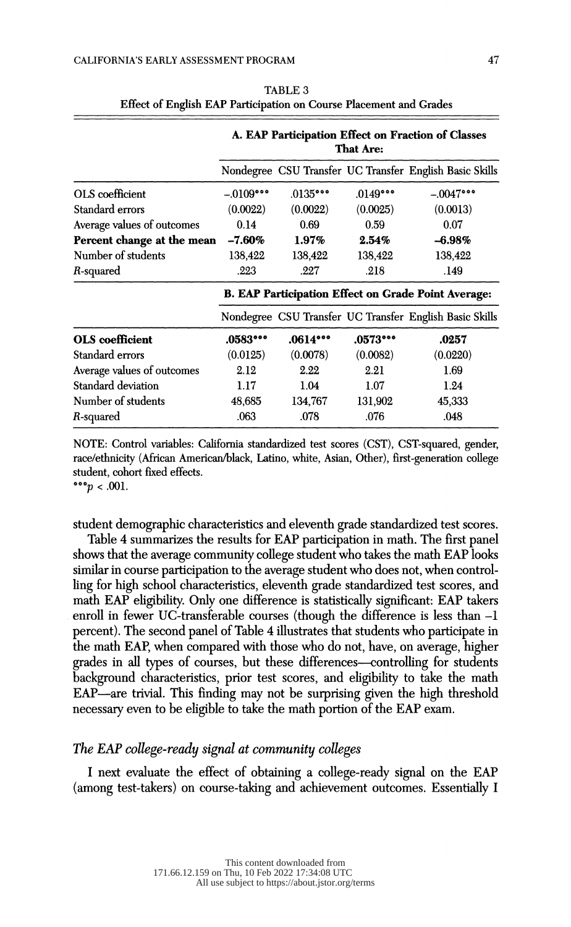|                            | A. EAP Participation Effect on Fraction of Classes<br><b>That Are:</b> |            |            |                                                         |  |  |
|----------------------------|------------------------------------------------------------------------|------------|------------|---------------------------------------------------------|--|--|
|                            |                                                                        |            |            | Nondegree CSU Transfer UC Transfer English Basic Skills |  |  |
| OLS coefficient            | $-0109$ ***                                                            | $.0135***$ | .0149      | $-.0047$ ***                                            |  |  |
| Standard errors            | (0.0022)                                                               | (0.0022)   | (0.0025)   | (0.0013)                                                |  |  |
| Average values of outcomes | 0.14                                                                   | 0.69       | 0.59       | 0.07                                                    |  |  |
| Percent change at the mean | $-7.60\%$                                                              | 1.97%      | 2.54%      | $-6.98\%$                                               |  |  |
| Number of students         | 138,422                                                                | 138,422    | 138,422    | 138,422                                                 |  |  |
| R-squared                  | .223                                                                   | .227       | .218       | .149                                                    |  |  |
|                            | <b>B. EAP Participation Effect on Grade Point Average:</b>             |            |            |                                                         |  |  |
|                            |                                                                        |            |            | Nondegree CSU Transfer UC Transfer English Basic Skills |  |  |
| <b>OLS</b> coefficient     | $.0583***$                                                             | $.0614***$ | $.0573***$ | .0257                                                   |  |  |
| Standard errors            | (0.0125)                                                               | (0.0078)   | (0.0082)   | (0.0220)                                                |  |  |
| Average values of outcomes | 2.12                                                                   | 2.22       | 2.21       | 1.69                                                    |  |  |
| Standard deviation         | 1.17                                                                   | 1.04       | 1.07       | 1.24                                                    |  |  |
| Number of students         | 48,685                                                                 | 134,767    | 131,902    | 45,333                                                  |  |  |

TABLE<sub>3</sub> Effect of English EAP Participation on Course Placement and Grades

NOTE: Control variables: California standardized test scores (CST), CST-squared, gender, race/ethnicity (African American/black, Latino, white, Asian, Other), first-generation college student, cohort fixed effects.

.063 .078 .076 .048

 $\frac{600}{p}$  < .001.

R-squared

student demographic characteristics and eleventh grade standardized test scores.

Table 4 summarizes the results for EAP participation in math. The first panel shows that the average community college student who takes the math EAP looks similar in course participation to the average student who does not, when controlling for high school characteristics, eleventh grade standardized test scores, and math EAP eligibility. Only one difference is statistically significant: EAP takers enroll in fewer UC-transferable courses (though the difference is less than -1 percent). The second panel of Table 4 illustrates that students who participate in the math EAP, when compared with those who do not, have, on average, higher grades in all types of courses, but these differences-controlling for students background characteristics, prior test scores, and eligibility to take the math EAP-are trivial. This finding may not be surprising given the high threshold necessary even to be eligible to take the math portion of the EAP exam.

### *The EAP college-ready signal at community colleges*

I next evaluate the effect of obtaining a college-ready signal on the EAP (among test-takers) on course-taking and achievement outcomes. Essentially I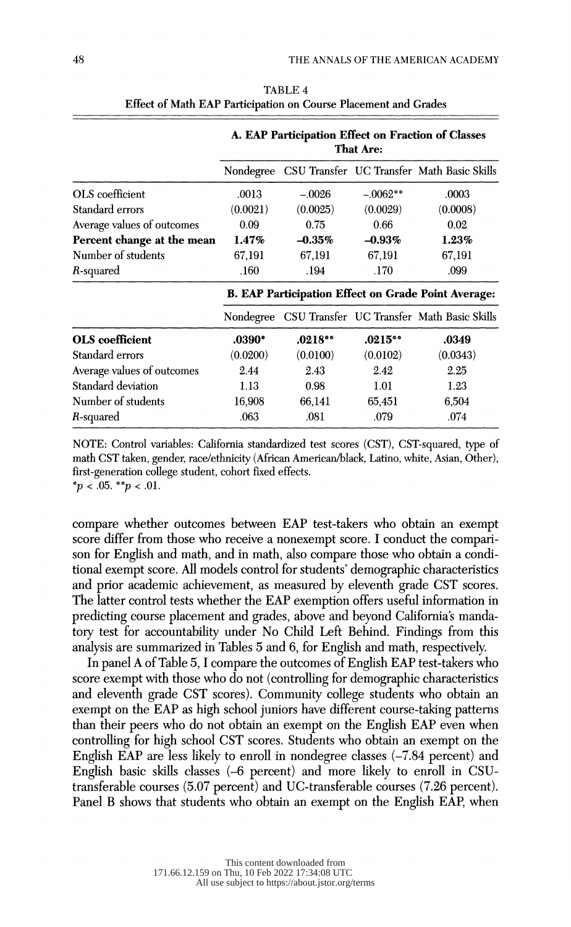|                            | A. EAP Participation Effect on Fraction of Classes<br><b>That Are:</b> |           |                        |                                                      |  |  |
|----------------------------|------------------------------------------------------------------------|-----------|------------------------|------------------------------------------------------|--|--|
|                            |                                                                        |           |                        | Nondegree CSU Transfer UC Transfer Math Basic Skills |  |  |
| OLS coefficient            | .0013                                                                  | $-.0026$  | $-.0062$ <sup>**</sup> | .0003                                                |  |  |
| Standard errors            | (0.0021)                                                               | (0.0025)  | (0.0029)               | (0.0008)                                             |  |  |
| Average values of outcomes | 0.09                                                                   | 0.75      | 0.66                   | 0.02                                                 |  |  |
| Percent change at the mean | 1.47%                                                                  | $-0.35\%$ | $-0.93%$               | 1.23%                                                |  |  |
| Number of students         | 67,191                                                                 | 67,191    | 67,191                 | 67,191                                               |  |  |
| R-squared                  | .160                                                                   | .194      | .170                   | .099                                                 |  |  |
|                            | <b>B. EAP Participation Effect on Grade Point Average:</b>             |           |                        |                                                      |  |  |
|                            | CSU Transfer UC Transfer Math Basic Skills<br>Nondegree                |           |                        |                                                      |  |  |

TABLE<sub>4</sub> Effect of Math EAP Participation on Course Placement and Grades

|                            | <b>B. EAP Participation Effect on Grade Point Average:</b> |           |          |                                                      |  |
|----------------------------|------------------------------------------------------------|-----------|----------|------------------------------------------------------|--|
|                            |                                                            |           |          | Nondegree CSU Transfer UC Transfer Math Basic Skills |  |
| <b>OLS</b> coefficient     | .0390*                                                     | $.0218**$ | .0215    | .0349                                                |  |
| Standard errors            | (0.0200)                                                   | (0.0100)  | (0.0102) | (0.0343)                                             |  |
| Average values of outcomes | 2.44                                                       | 2.43      | 2.42     | 2.25                                                 |  |
| Standard deviation         | 1.13                                                       | 0.98      | 1.01     | 1.23                                                 |  |
| Number of students         | 16,908                                                     | 66,141    | 65,451   | 6,504                                                |  |
| R-squared                  | .063                                                       | .081      | .079     | .074                                                 |  |

NOTE: Control variables: California standardized test scores (CST), CST-squared, type of math CST taken, gender, race/ethnicity (African American/black, Latino, white, Asian, Other), first-generation college student, cohort fixed effects.  $^{6}p < .05.$   $^{6}p < .01.$ 

compare whether outcomes between EAP test-takers who obtain an exempt score differ from those who receive a nonexempt score. I conduct the comparison for English and math, and in math, also compare those who obtain a conditional exempt score. All models control for students' demographic characteristics and prior academic achievement, as measured by eleventh grade CST scores. The latter control tests whether the EAP exemption offers useful information in predicting course placement and grades, above and beyond California's mandatory test for accountability under No Child Left Behind. Findings from this analysis are summarized in Tables 5 and 6, for English and math, respectively.

In panel A of Table 5, I compare the outcomes of English EAP test-takers who score exempt with those who do not (controlling for demographic characteristics and eleventh grade CST scores). Community college students who obtain an exempt on the EAP as high school juniors have different course-taking patterns than their peers who do not obtain an exempt on the English EAP even when controlling for high school CST scores. Students who obtain an exempt on the English EAP are less likely to enroll in nondegree classes (-7.84 percent) and English basic skills classes (-6 percent) and more likely to enroll in CSUtransferable courses (5.07 percent) and UC-transferable courses (7.26 percent). Panel B shows that students who obtain an exempt on the English EAP, when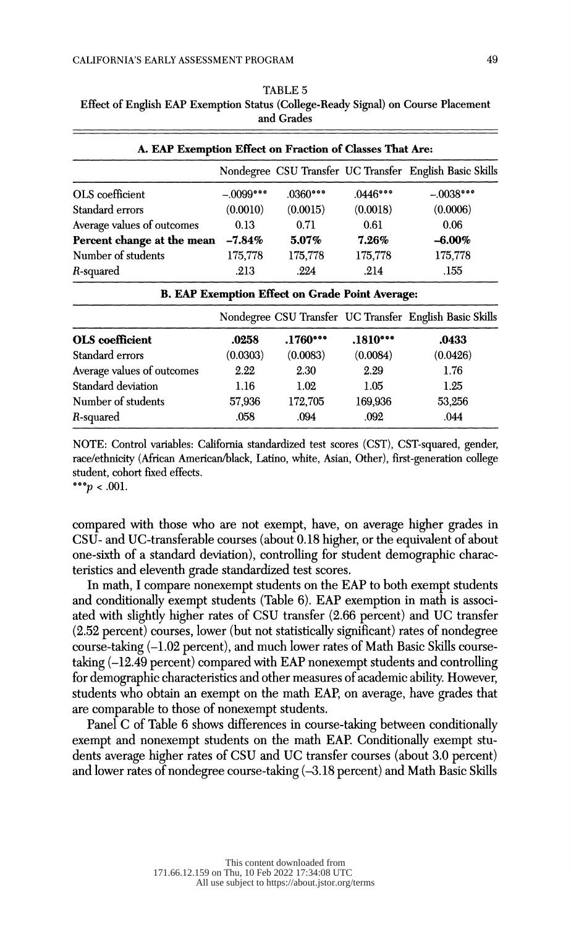|                            |             |            |             | Nondegree CSU Transfer UC Transfer English Basic Skills |
|----------------------------|-------------|------------|-------------|---------------------------------------------------------|
| OLS coefficient            | $-.0099***$ | $.0360***$ | $.0446$ °°° | $-.0038***$                                             |
| Standard errors            | (0.0010)    | (0.0015)   | (0.0018)    | (0.0006)                                                |
| Average values of outcomes | 0.13        | 0.71       | 0.61        | 0.06                                                    |
| Percent change at the mean | $-7.84%$    | $5.07\%$   | 7.26%       | $-6.00\%$                                               |
| Number of students         | 175,778     | 175,778    | 175,778     | 175,778                                                 |
| R-squared                  | .213        | .224       | .214        | .155                                                    |

TABLE<sub>5</sub> Effect of English EAP Exemption Status (College-Ready Signal) on Course Placement and Grades

| <b>B. EAP Exemption Effect on Grade Point Average:</b> |          |            |            |                                                                  |  |  |
|--------------------------------------------------------|----------|------------|------------|------------------------------------------------------------------|--|--|
| <b>OLS</b> coefficient                                 |          |            |            | Nondegree CSU Transfer UC Transfer English Basic Skills<br>.0433 |  |  |
|                                                        | .0258    | $.1760***$ | $.1810***$ |                                                                  |  |  |
| Standard errors                                        | (0.0303) | (0.0083)   | (0.0084)   | (0.0426)                                                         |  |  |
| Average values of outcomes                             | 2.22     | 2.30       | 2.29       | 1.76                                                             |  |  |
| Standard deviation                                     | 1.16     | 1.02       | 1.05       | 1.25                                                             |  |  |
| Number of students                                     | 57,936   | 172,705    | 169,936    | 53,256                                                           |  |  |
| R-squared                                              | .058     | .094       | .092       | .044                                                             |  |  |

NOTE: Control variables: California standardized test scores (CST), CST-squared, gender, race/ethnicity (African American/black, Latino, white, Asian, Other), first-generation college student, cohort fixed effects.

 $\mathbf{e} \cdot \mathbf{e} \cdot \mathbf{p}$  < .001.

compared with those who are not exempt, have, on average higher grades in CSU- and UC-transferable courses (about 0.18 higher, or the equivalent of about one-sixth of a standard deviation), controlling for student demographic characteristics and eleventh grade standardized test scores.

In math, I compare nonexempt students on the EAP to both exempt students and conditionally exempt students (Table 6). EAP exemption in math is associated with slightly higher rates of CSU transfer (2.66 percent) and UC transfer (2.52 percent) courses, lower (but not statistically significant) rates of nondegree course-taking (-1.02 percent), and much lower rates of Math Basic Skills coursetaking (-12.49 percent) compared with EAP nonexempt students and controlling for demographic characteristics and other measures of academic ability. However, students who obtain an exempt on the math EAP, on average, have grades that are comparable to those of nonexempt students.

Panel C of Table 6 shows differences in course-taking between conditionally exempt and nonexempt students on the math EAP. Conditionally exempt students average higher rates of CSU and UC transfer courses (about 3.0 percent) and lower rates of nondegree course-taking (-3.18 percent) and Math Basic Skills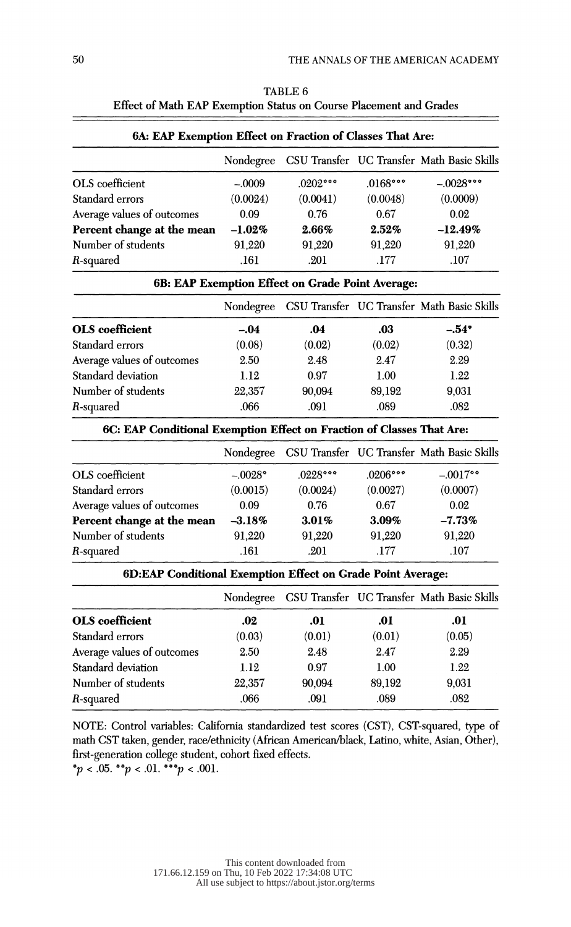| 6A: EAP Exemption Effect on Fraction of Classes That Are:             |            |                                                  |             |                                            |
|-----------------------------------------------------------------------|------------|--------------------------------------------------|-------------|--------------------------------------------|
|                                                                       | Nondegree  |                                                  |             | CSU Transfer UC Transfer Math Basic Skills |
| OLS coefficient                                                       | $-.0009$   | .0202                                            | $.0168$ *** | $-.0028$ ***                               |
| Standard errors                                                       | (0.0024)   | (0.0041)                                         | (0.0048)    | (0.0009)                                   |
| Average values of outcomes                                            | 0.09       | 0.76                                             | 0.67        | 0.02                                       |
| Percent change at the mean                                            | $-1.02\%$  | $2.66\%$                                         | 2.52%       | $-12.49\%$                                 |
| Number of students                                                    | 91,220     | 91,220                                           | 91,220      | 91,220                                     |
| R-squared                                                             | .161       | .201                                             | .177        | .107                                       |
|                                                                       |            | 6B: EAP Exemption Effect on Grade Point Average: |             |                                            |
|                                                                       | Nondegree  |                                                  |             | CSU Transfer UC Transfer Math Basic Skills |
| <b>OLS</b> coefficient                                                | $-.04$     | .04                                              | .03         | $-.54*$                                    |
| Standard errors                                                       | (0.08)     | (0.02)                                           | (0.02)      | (0.32)                                     |
| Average values of outcomes                                            | 2.50       | 2.48                                             | 2.47        | 2.29                                       |
| Standard deviation                                                    | 1.12       | 0.97                                             | 1.00        | 1.22                                       |
| Number of students                                                    | 22,357     | 90,094                                           | 89,192      | 9,031                                      |
| R-squared                                                             | .066       | .091                                             | .089        | .082                                       |
| 6C: EAP Conditional Exemption Effect on Fraction of Classes That Are: |            |                                                  |             |                                            |
|                                                                       | Nondegree  |                                                  |             | CSU Transfer UC Transfer Math Basic Skills |
| OLS coefficient                                                       | $-.0028$ * | $.0228$ ***                                      | $.0206$ *** | $-.0017$ °°                                |
| Standard errors                                                       | (0.0015)   | (0.0024)                                         | (0.0027)    | (0.0007)                                   |
| Average values of outcomes                                            | 0.09       | 0.76                                             | 0.67        | 0.02                                       |
| Percent change at the mean                                            | $-3.18%$   | 3.01%                                            | 3.09%       | $-7.73%$                                   |
| Number of students                                                    | 91,220     | 91,220                                           | 91,220      | 91,220                                     |
| R-squared                                                             | .161       | .201                                             | .177        | .107                                       |
| 6D:EAP Conditional Exemption Effect on Grade Point Average:           |            |                                                  |             |                                            |
|                                                                       | Nondegree  |                                                  |             | CSU Transfer UC Transfer Math Basic Skills |
| <b>OLS</b> coefficient                                                | .02        | .01                                              | .01         | .01                                        |
| Standard errors                                                       | (0.03)     | (0.01)                                           | (0.01)      | (0.05)                                     |
| Average values of outcomes                                            | 2.50       | 2.48                                             | 2.47        | 2.29                                       |
| Standard deviation                                                    | 1.12       | 0.97                                             | 1.00        | 1.22                                       |
| Number of students                                                    | 22,357     | 90,094                                           | 89,192      | 9,031                                      |
| R-squared                                                             | .066       | .091                                             | .089        | .082                                       |

TABLE 6 Effect of Math EAP Exemption Status on Course Placement and Grades

NOTE: Control variables: California standardized test scores (CST), CST-squared, type of math CST taken, gender, race/ethnicity (African American/black, Latino, white, Asian, Other), first-generation college student, cohort fixed effects.

 ${}^{\circ}p$  < .05.  ${}^{\circ}{}^{\circ}p$  < .01.  ${}^{\circ}{}^{\circ}{}^{\circ}p$  < .001.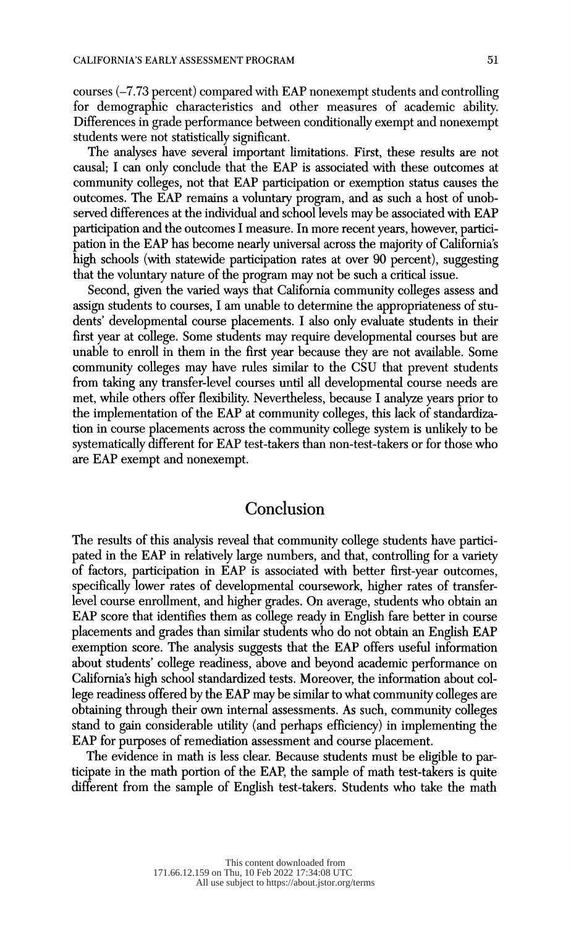courses (-7.73 percent) compared with EAP nonexempt students and controlling for demographic characteristics and other measures of academic ability. Differences in grade performance between conditionally exempt and nonexempt students were not statistically significant.

The analyses have several important limitations. First, these results are not causal; I can only conclude that the EAP is associated with these outcomes at community colleges, not that EAP participation or exemption status causes the outcomes. The EAP remains a voluntary program, and as such a host of unobserved differences at the individual and school levels may be associated with EAP participation and the outcomes I measure. In more recent years, however, participation in the EAP has become nearly universal across the majority of California's high schools (with statewide participation rates at over 90 percent), suggesting that the voluntary nature of the program may not be such a critical issue.

Second, given the varied ways that California community colleges assess and assign students to courses, I am unable to determine the appropriateness of students' developmental course placements. I also only evaluate students in their first year at college. Some students may require developmental courses but are unable to enroll in them in the first year because they are not available. Some community colleges may have rules similar to the CSU that prevent students from taking any transfer-level courses until all developmental course needs are met, while others offer flexibility. Nevertheless, because I analyze years prior to the implementation of the EAP at community colleges, this lack of standardization in course placements across the community college system is unlikely to be systematically different for EAP test-takers than non-test-takers or for those who are EAP exempt and nonexempt.

## **Conclusion**

The results of this analysis reveal that community college students have participated in the EAP in relatively large numbers, and that, controlling for a variety of factors, participation in EAP is associated with better first-year outcomes, specifically lower rates of developmental coursework, higher rates of transferlevel course enrollment, and higher grades. On average, students who obtain an EAP score that identifies them as college ready in English fare better in course placements and grades than similar students who do not obtain an English EAP exemption score. The analysis suggests that the EAP offers useful information about students' college readiness, above and beyond academic performance on California's high school standardized tests. Moreover, the information about college readiness offered by the EAP may be similar to what community colleges are obtaining through their own internal assessments. As such, community colleges stand to gain considerable utility (and perhaps efficiency) in implementing the EAP for purposes of remediation assessment and course placement.

The evidence in math is less clear. Because students must be eligible to participate in the math portion of the EAP, the sample of math test-takers is quite different from the sample of English test-takers. Students who take the math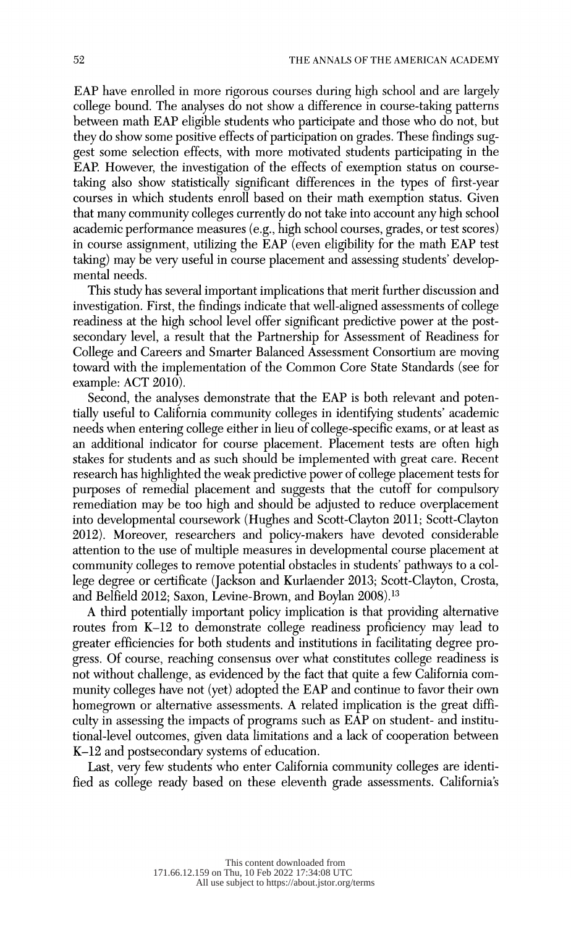EAP have enrolled in more rigorous courses during high school and are largely college bound. The analyses do not show a difference in course-taking patterns between math EAP eligible students who participate and those who do not, but they do show some positive effects of participation on grades. These findings suggest some selection effects, with more motivated students participating in the EAP. However, the investigation of the effects of exemption status on coursetaking also show statistically significant differences in the types of first-year courses in which students enroll based on their math exemption status. Given that many community colleges currently do not take into account any high school academic performance measures (e.g., high school courses, grades, or test scores) in course assignment, utilizing the EAP (even eligibility for the math EAP test taking) may be very useful in course placement and assessing students' developmental needs.

This study has several important implications that merit further discussion and investigation. First, the findings indicate that well-aligned assessments of college readiness at the high school level offer significant predictive power at the postsecondary level, a result that the Partnership for Assessment of Readiness for College and Careers and Smarter Balanced Assessment Consortium are moving toward with the implementation of the Common Core State Standards (see for example: ACT 2010).

Second, the analyses demonstrate that the EAP is both relevant and potentially useful to California community colleges in identifying students' academic needs when entering college either in lieu of college-specific exams, or at least as an additional indicator for course placement. Placement tests are often high stakes for students and as such should be implemented with great care. Recent research has highlighted the weak predictive power of college placement tests for purposes of remedial placement and suggests that the cutoff for compulsory remediation may be too high and should be adjusted to reduce overplacement into developmental coursework (Hughes and Scott-Clayton 2011; Scott-Clayton 2012). Moreover, researchers and policy-makers have devoted considerable attention to the use of multiple measures in developmental course placement at community colleges to remove potential obstacles in students' pathways to a college degree or certificate (Jackson and Kurlaender 2013; Scott-Clayton, Crosta, and Belfield 2012; Saxon, Levine-Brown, and Boylan 2008).13

A third potentially important policy implication is that providing alternative routes from K-12 to demonstrate college readiness proficiency may lead to greater efficiencies for both students and institutions in facilitating degree progress. Of course, reaching consensus over what constitutes college readiness is not without challenge, as evidenced by the fact that quite a few California community colleges have not (yet) adopted the EAP and continue to favor their own homegrown or alternative assessments. A related implication is the great difficulty in assessing the impacts of programs such as EAP on student- and institutional-level outcomes, given data limitations and a lack of cooperation between K-12 and postsecondary systems of education.

Last, very few students who enter California community colleges are identified as college ready based on these eleventh grade assessments. California's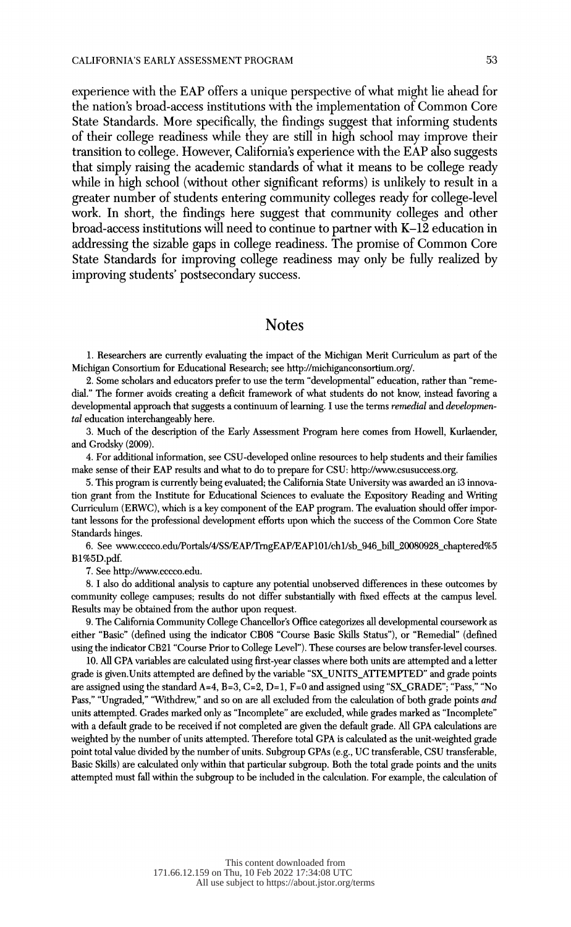experience with the EAP offers a unique perspective of what might lie ahead for the nation's broad-access institutions with the implementation of Common Core State Standards. More specifically, the findings suggest that informing students of their college readiness while they are still in high school may improve their transition to college. However, California's experience with the EAP also suggests that simply raising the academic standards of what it means to be college ready while in high school (without other significant reforms) is unlikely to result in a greater number of students entering community colleges ready for college-level work. In short, the findings here suggest that community colleges and other broad-access institutions will need to continue to partner with  $K-12$  education in addressing the sizable gaps in college readiness. The promise of Common Core State Standards for improving college readiness may only be fully realized by improving students' postsecondary success.

### **Notes**

1. Researchers are currently evaluating the impact of the Michigan Merit Curriculum as part of the Michigan Consortium for Educational Research; see http://michiganconsortium.org/.

2. Some scholars and educators prefer to use the term "developmental" education, rather than "remedial." The former avoids creating a deficit framework of what students do not know, instead favoring a developmental approach that suggests a continuum of learning. I use the terms *remedial* and *developmental* education interchangeably here.

3. Much of the description of the Early Assessment Program here comes from Howell, Kurlaender, and Grodsky (2009).

4. For additional information, see CSU-developed online resources to help students and their families make sense of their EAP results and what to do to prepare for CSU: http://www.csusuccess.org.

5. This program is currently being evaluated; the California State University was awarded an i3 innovation grant from the Institute for Educational Sciences to evaluate the Expository Reading and Writing Curriculum (ERWC), which is a key component of the EAP program. The evaluation should offer important lessons for the professional development efforts upon which the success of the Common Core State Standards hinges.

6. See www.cccco.edu/Portals/4/SS/EAP/TmgEAP/EAPlOl/chl/sb\_946\_bill\_20080928\_chaptered%5 Bl%5D.pdf.

7. See http://www.cccco.edu.

8. I also do additional analysis to capture any potential unobserved differences in these outcomes by community college campuses; results do not differ substantially with fixed effects at the campus level. Results may be obtained from the author upon request.

9. The California Community College Chancellor's Office categorizes all developmental coursework as either "Basic" (defined using the indicator CB08 "Course Basic Skills Status"), or "Remedial" (defined using the indicator CB21 "Course Prior to College Level"). These courses are below transfer-level courses.

10. All GPA variables are calculated using first-year classes where both units are attempted and a letter grade is given.Units attempted are defined by the variable "SX\_UNITS\_ATTEMPTED" and grade points are assigned using the standard A=4, B=3, C=2, D=l, F=0 and assigned using "SX\_GRADE"; "Pass," "No Pass," "Ungraded," "Withdrew," and so on are all excluded from the calculation of both grade points *and*  units attempted. Grades marked only as "Incomplete" are excluded, while grades marked as "Incomplete" with a default grade to be received if not completed are given the default grade. All GPA calculations are weighted by the number of units attempted. Therefore total GPA is calculated as the unit-weighted grade point total value divided by the number of units. Subgroup GPAs (e.g., UC transferable, CSU transferable, Basic Skills) are calculated only within that particular subgroup. Both the total grade points and the units attempted must fall within the subgroup to be included in the calculation. For example, the calculation of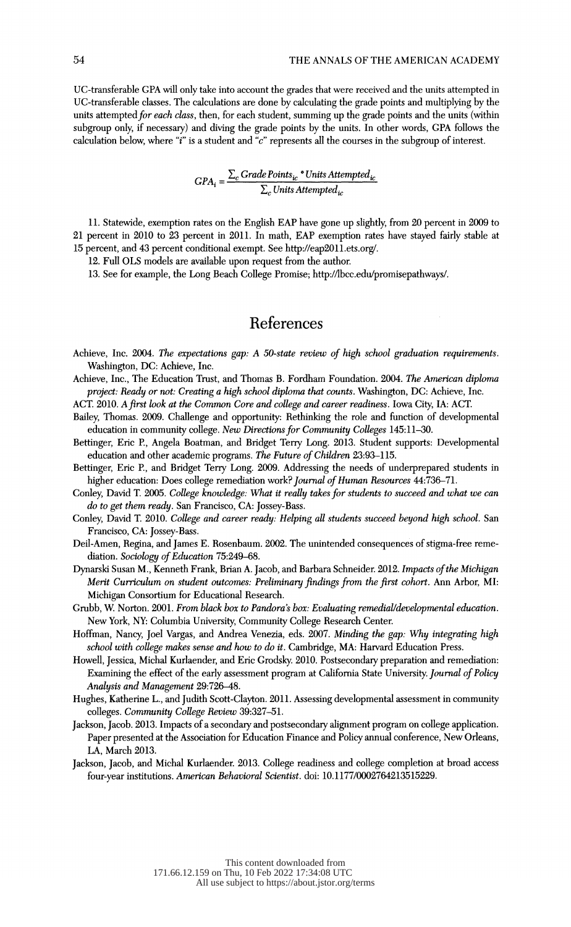UC-transferable GPA will only take into account the grades that were received and the units attempted in UC-transferable classes. The calculations are done by calculating the grade points and multiplying by the units attempted *for each class,* then, for each student, summing up the grade points and the units (within subgroup only, if necessary) and diving the grade points by the units. In other words, GPA follows the calculation below, where "i" is a student and "c" represents all the courses in the subgroup of interest.

$$
GPA_i = \frac{\sum_{c} Grade \, Points_{ic} \cdot Units \, Attempted_{ic}}{\sum_{c} Units \, Attempted_{ic}}
$$

11. Statewide, exemption rates on the English EAP have gone up slightly, from 20 percent in 2009 to 21 percent in 2010 to 23 percent in 2011. In math, EAP exemption rates have stayed fairly stable at 15 percent, and 43 percent conditional exempt. See http://eap20ll.ets.org/.

12. Full OLS models are available upon request from the author.

13. See for example, the Long Beach College Promise; http://lbcc.edu/promisepathways!.

# **References**

- Achieve, Inc. 2004. *The expectations gap: A 50-state review of high school graduation requirements.*  Washington, DC: Achieve, Inc.
- Achieve, Inc., The Education Trust, and Thomas B. Fordham Foundation. 2004. *The American diploma project: Ready or not: Creating a high school diploma that counts.* Washington, DC: Achieve, Inc.

ACT. 2010. *A first look at the Common Core and college and career readiness.* Iowa City, IA: ACT.

- Bailey, Thomas. 2009. Challenge and opportunity: Rethinking the role and function of developmental education in community college. *New Directions for Community Colleges* 145:11-30.
- Bettinger, Eric P., Angela Boatman, and Bridget Terry Long. 2013. Student supports: Developmental education and other academic programs. The Future of Children 23:93-115.

Bettinger, Eric P., and Bridget Terry Long. 2009. Addressing the needs of underprepared students in higher education: Does college remediation work? *Journal of Human Resources* 44:736-71.

- Conley, David T. 2005. *College knowledge: What it really takes for students to succeed and what we can do to get them ready.* San Francisco, CA: Jossey-Bass.
- Conley, David T. 2010. *College and career ready: Helping all students succeed beyond high school.* San Francisco, CA: Jossey-Bass.
- Deil-Amen, Regina, and James E. Rosenbaum. 2002. The unintended consequences of stigma-free remediation. *Sociology of Education* 75:249-68.
- Dynarski Susan **M.,** Kenneth Frank, Brian A. Jacob, and Barbara Schneider. 2012. *Impacts of the Michigan Merit Curriculum on student outcomes: Preliminary findings from the first cohort.* Ann Arbor, **MI:**  Michigan Consortium for Educational Research.

Grubb, W. Norton. 2001. *From black box to Pandora's box: Evaluating remedial/developmental education.*  New York, NY: Columbia University, Community College Research Center.

- Hoffman, Nancy, Joel Vargas, and Andrea Venezia, eds. 2007. *Minding the gap: Why integrating high*  school with college makes sense and how to do it. Cambridge, MA: Harvard Education Press.
- Howell, Jessica, Michal Kurlaender, and Eric Grodsky. 2010. Postsecondary preparation and remediation: Examining the effect of the early assessment program at California State University. *Journal of Policy Analysis and Management* 29:726-48.
- Hughes, Katherine L., and Judith Scott-Clayton. 2011. Assessing developmental assessment in community colleges. *Community College Review* 39:327-51.
- Jackson, Jacob. 2013. Impacts of a secondary and postsecondary alignment program on college application. Paper presented at the Association for Education Finance and Policy annual conference, New Orleans, LA, March 2013.
- Jackson, Jacob, and Michal Kurlaender. 2013. College readiness and college completion at broad access four-year institutions. *American Behavioral Scientist.* doi: 10.1177/0002764213515229.